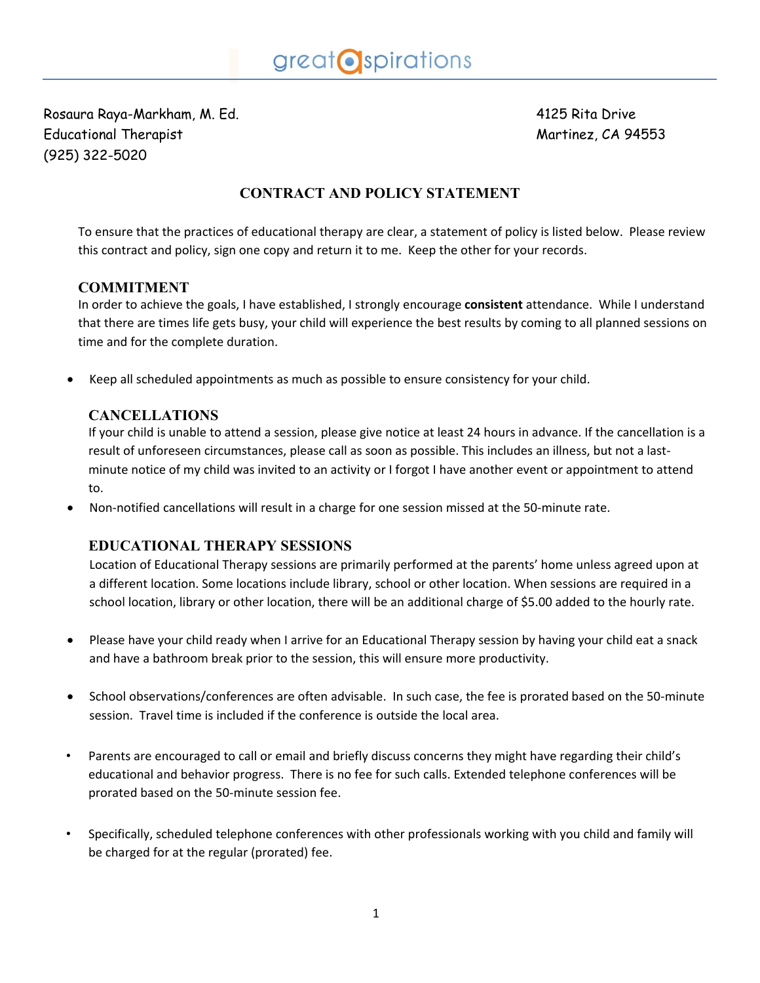Rosaura Raya-Markham, M. Ed. 4125 Rita Drive Educational Therapist Martinez, CA 94553 (925) 322-5020

# **CONTRACT AND POLICY STATEMENT**

To ensure that the practices of educational therapy are clear, a statement of policy is listed below. Please review this contract and policy, sign one copy and return it to me. Keep the other for your records.

## **COMMITMENT**

In order to achieve the goals, I have established, I strongly encourage **consistent** attendance. While I understand that there are times life gets busy, your child will experience the best results by coming to all planned sessions on time and for the complete duration.

Keep all scheduled appointments as much as possible to ensure consistency for your child.

## **CANCELLATIONS**

If your child is unable to attend a session, please give notice at least 24 hours in advance. If the cancellation is a result of unforeseen circumstances, please call as soon as possible. This includes an illness, but not a lastminute notice of my child was invited to an activity or I forgot I have another event or appointment to attend to.

Non-notified cancellations will result in a charge for one session missed at the 50-minute rate.

# **EDUCATIONAL THERAPY SESSIONS**

Location of Educational Therapy sessions are primarily performed at the parents' home unless agreed upon at a different location. Some locations include library, school or other location. When sessions are required in a school location, library or other location, there will be an additional charge of \$5.00 added to the hourly rate.

- Please have your child ready when I arrive for an Educational Therapy session by having your child eat a snack and have a bathroom break prior to the session, this will ensure more productivity.
- School observations/conferences are often advisable. In such case, the fee is prorated based on the 50-minute session. Travel time is included if the conference is outside the local area.
- Parents are encouraged to call or email and briefly discuss concerns they might have regarding their child's educational and behavior progress. There is no fee for such calls. Extended telephone conferences will be prorated based on the 50-minute session fee.
- Specifically, scheduled telephone conferences with other professionals working with you child and family will be charged for at the regular (prorated) fee.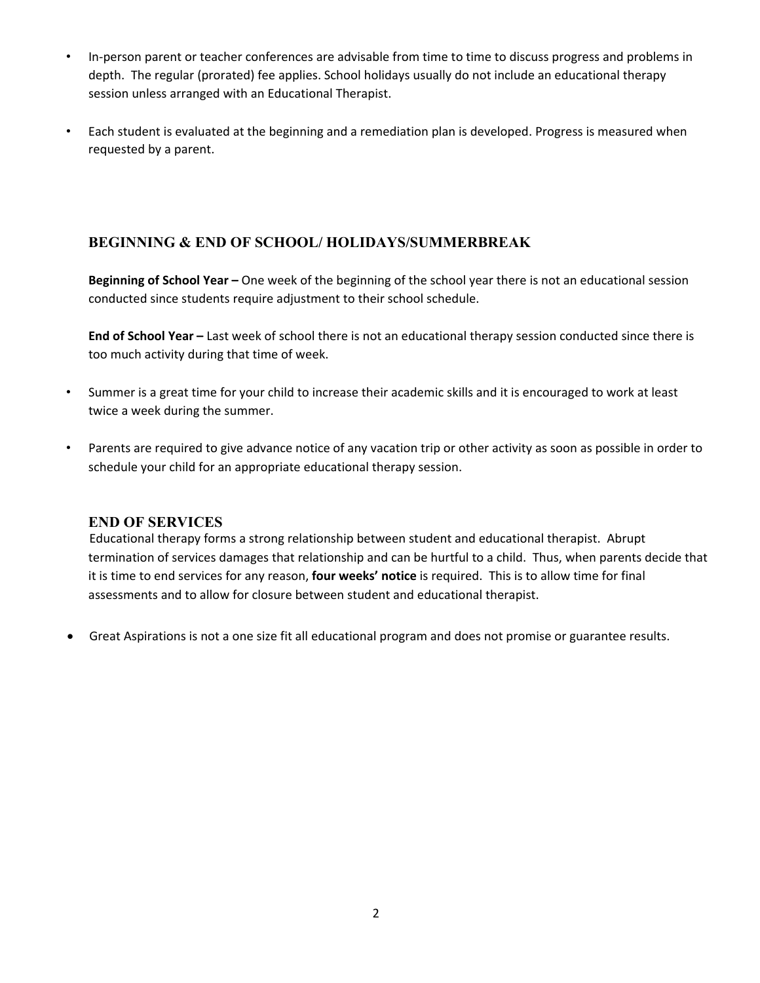- In-person parent or teacher conferences are advisable from time to time to discuss progress and problems in depth. The regular (prorated) fee applies. School holidays usually do not include an educational therapy session unless arranged with an Educational Therapist.
- Each student is evaluated at the beginning and a remediation plan is developed. Progress is measured when requested by a parent.

# **BEGINNING & END OF SCHOOL/ HOLIDAYS/SUMMERBREAK**

**Beginning of School Year –** One week of the beginning of the school year there is not an educational session conducted since students require adjustment to their school schedule.

**End of School Year –** Last week of school there is not an educational therapy session conducted since there is too much activity during that time of week.

- Summer is a great time for your child to increase their academic skills and it is encouraged to work at least twice a week during the summer.
- Parents are required to give advance notice of any vacation trip or other activity as soon as possible in order to schedule your child for an appropriate educational therapy session.

#### **END OF SERVICES**

Educational therapy forms a strong relationship between student and educational therapist. Abrupt termination of services damages that relationship and can be hurtful to a child. Thus, when parents decide that it is time to end services for any reason, **four weeks' notice** is required. This is to allow time for final assessments and to allow for closure between student and educational therapist.

Great Aspirations is not a one size fit all educational program and does not promise or guarantee results.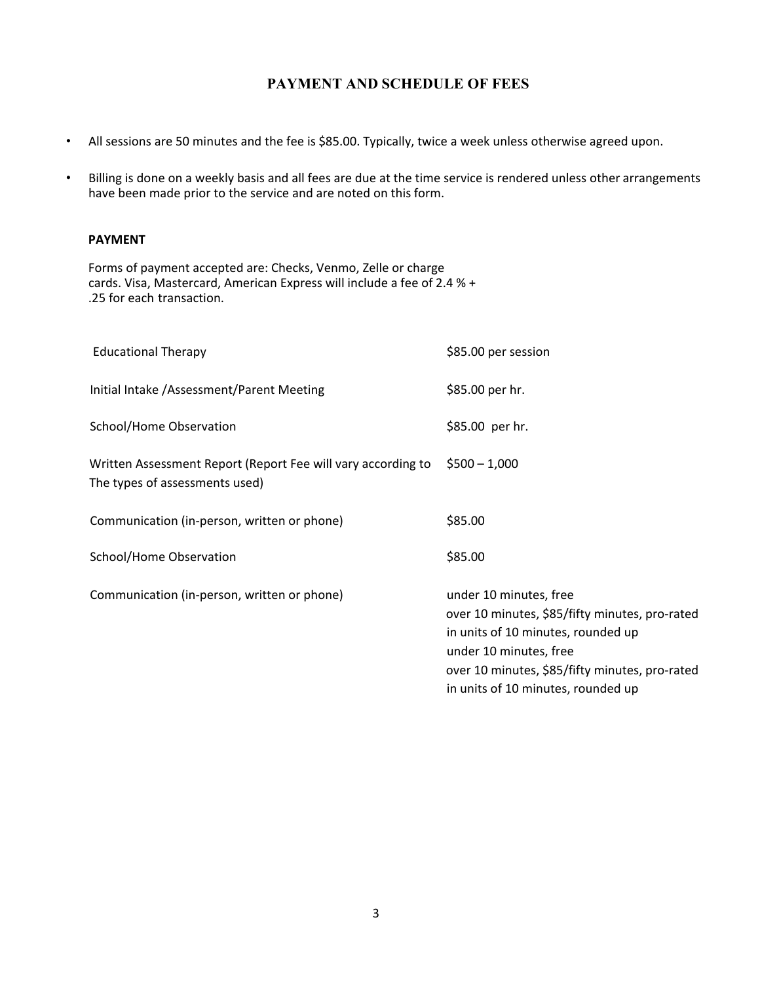## **PAYMENT AND SCHEDULE OF FEES**

- All sessions are 50 minutes and the fee is \$85.00. Typically, twice a week unless otherwise agreed upon.
- Billing is done on a weekly basis and all fees are due at the time service is rendered unless other arrangements have been made prior to the service and are noted on this form.

#### **PAYMENT**

Forms of payment accepted are: Checks, Venmo, Zelle or charge cards. Visa, Mastercard, American Express will include a fee of 2.4 % + .25 for each transaction.

| <b>Educational Therapy</b>                                                                     | \$85.00 per session                                                                                                                                                                                                              |
|------------------------------------------------------------------------------------------------|----------------------------------------------------------------------------------------------------------------------------------------------------------------------------------------------------------------------------------|
| Initial Intake / Assessment/Parent Meeting                                                     | \$85.00 per hr.                                                                                                                                                                                                                  |
| School/Home Observation                                                                        | \$85.00 per hr.                                                                                                                                                                                                                  |
| Written Assessment Report (Report Fee will vary according to<br>The types of assessments used) | $$500 - 1,000$                                                                                                                                                                                                                   |
| Communication (in-person, written or phone)                                                    | \$85.00                                                                                                                                                                                                                          |
| School/Home Observation                                                                        | \$85.00                                                                                                                                                                                                                          |
| Communication (in-person, written or phone)                                                    | under 10 minutes, free<br>over 10 minutes, \$85/fifty minutes, pro-rated<br>in units of 10 minutes, rounded up<br>under 10 minutes, free<br>over 10 minutes, \$85/fifty minutes, pro-rated<br>in units of 10 minutes, rounded up |